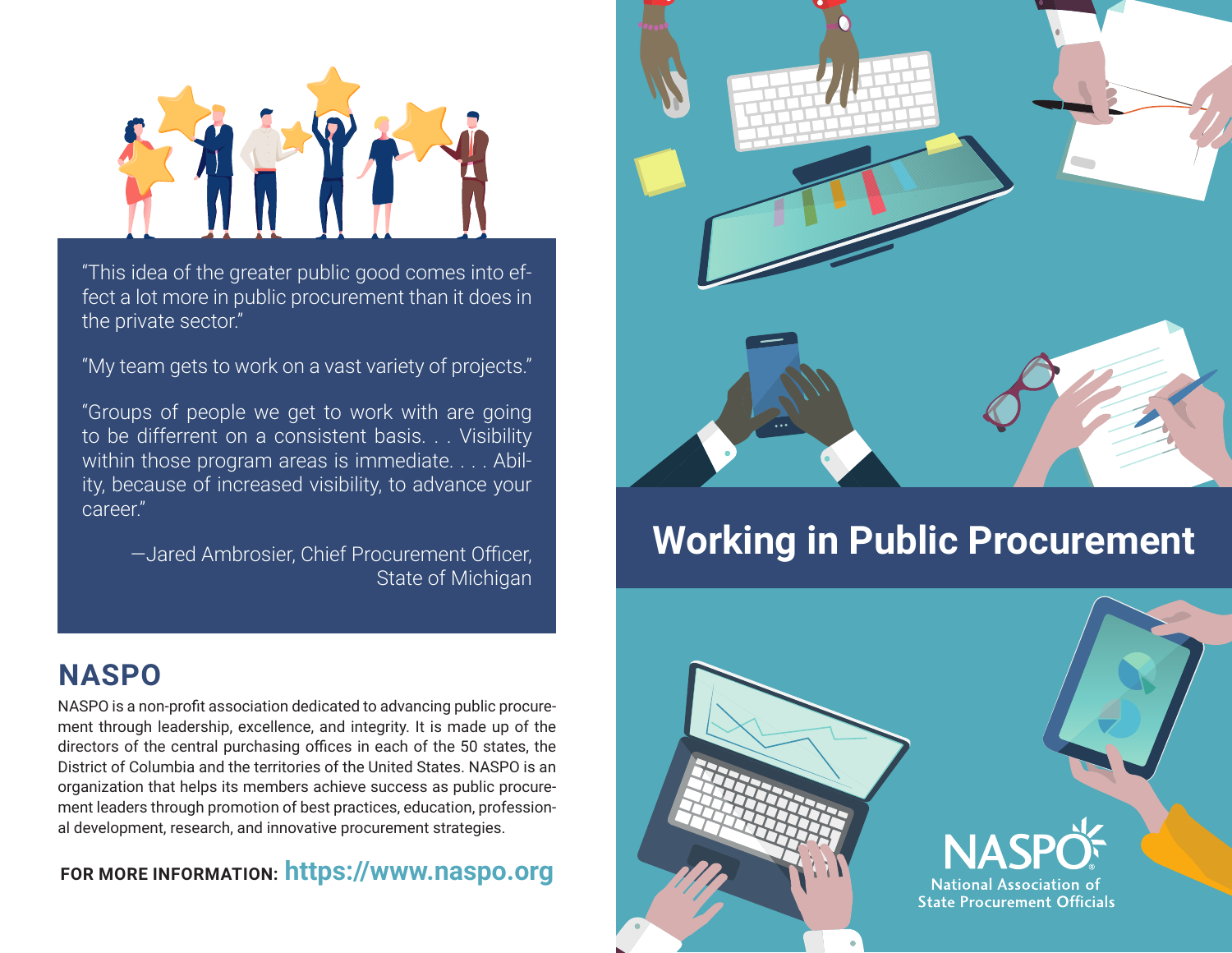

"This idea of the greater public good comes into effect a lot more in public procurement than it does in the private sector."

"My team gets to work on a vast variety of projects."

"Groups of people we get to work with are going to be differrent on a consistent basis. . . Visibility within those program areas is immediate. . . . Ability, because of increased visibility, to advance your career."

> —Jared Ambrosier, Chief Procurement Officer, State of Michigan

## **NASPO**

NASPO is a non-profit association dedicated to advancing public procurement through leadership, excellence, and integrity. It is made up of the directors of the central purchasing offices in each of the 50 states, the District of Columbia and the territories of the United States. NASPO is an organization that helps its members achieve success as public procurement leaders through promotion of best practices, education, professional development, research, and innovative procurement strategies.

## **FOR MORE INFORMATION: https://www.naspo.org**



# **Working in Public Procurement**